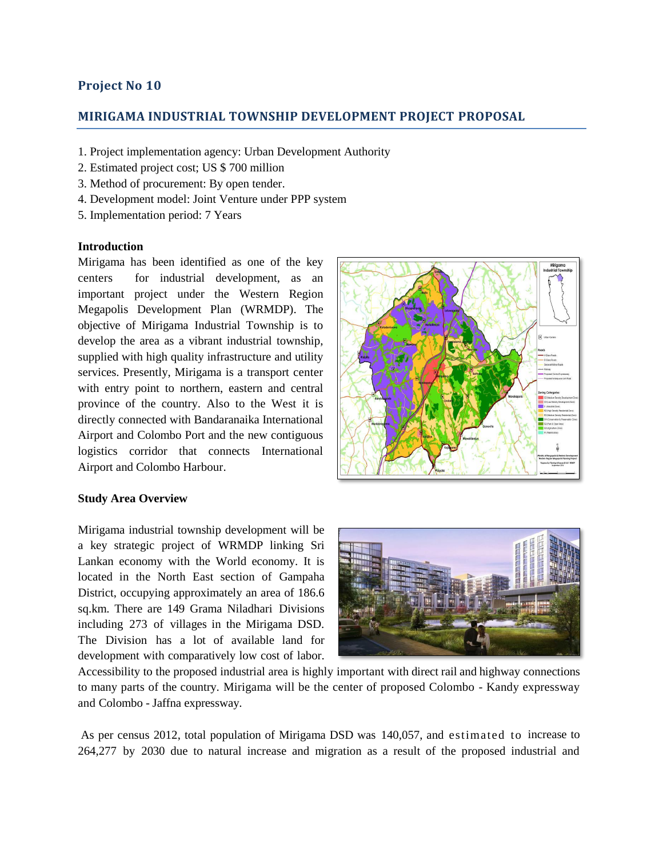# **Project No 10**

### **MIRIGAMA INDUSTRIAL TOWNSHIP DEVELOPMENT PROJECT PROPOSAL**

- 1. Project implementation agency: Urban Development Authority
- 2. Estimated project cost; US \$ 700 million
- 3. Method of procurement: By open tender.
- 4. Development model: Joint Venture under PPP system
- 5. Implementation period: 7 Years

#### **Introduction**

Mirigama has been identified as one of the key centers for industrial development, as an important project under the Western Region Megapolis Development Plan (WRMDP). The objective of Mirigama Industrial Township is to develop the area as a vibrant industrial township, supplied with high quality infrastructure and utility services. Presently, Mirigama is a transport center with entry point to northern, eastern and central province of the country. Also to the West it is directly connected with Bandaranaika International Airport and Colombo Port and the new contiguous logistics corridor that connects International Airport and Colombo Harbour.



#### **Study Area Overview**

Mirigama industrial township development will be a key strategic project of WRMDP linking Sri Lankan economy with the World economy. It is located in the North East section of Gampaha District, occupying approximately an area of 186.6 sq.km. There are 149 Grama Niladhari Divisions including 273 of villages in the Mirigama DSD. The Division has a lot of available land for development with comparatively low cost of labor.



Accessibility to the proposed industrial area is highly important with direct rail and highway connections to many parts of the country. Mirigama will be the center of proposed Colombo - Kandy expressway and Colombo - Jaffna expressway.

As per census 2012, total population of Mirigama DSD was 140,057, and estimated to increase to 264,277 by 2030 due to natural increase and migration as a result of the proposed industrial and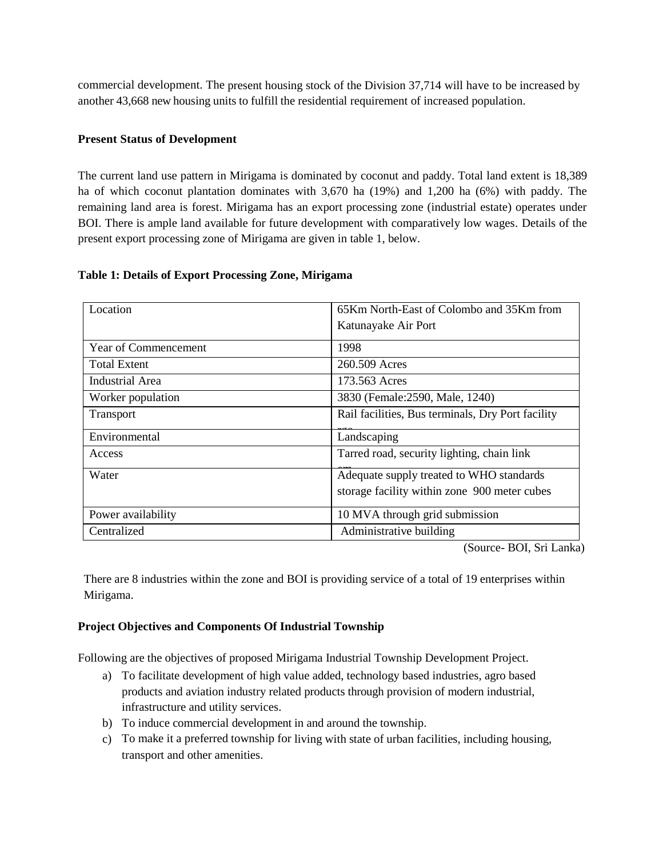commercial development. The present housing stock of the Division 37,714 will have to be increased by another 43,668 new housing units to fulfill the residential requirement of increased population.

### **Present Status of Development**

The current land use pattern in Mirigama is dominated by coconut and paddy. Total land extent is 18,389 ha of which coconut plantation dominates with 3,670 ha (19%) and 1,200 ha (6%) with paddy. The remaining land area is forest. Mirigama has an export processing zone (industrial estate) operates under BOI. There is ample land available for future development with comparatively low wages. Details of the present export processing zone of Mirigama are given in table 1, below.

| Location             | 65Km North-East of Colombo and 35Km from<br>Katunayake Air Port |
|----------------------|-----------------------------------------------------------------|
|                      |                                                                 |
| Year of Commencement | 1998                                                            |
| <b>Total Extent</b>  | 260.509 Acres                                                   |
| Industrial Area      | 173.563 Acres                                                   |
| Worker population    | 3830 (Female: 2590, Male, 1240)                                 |
| Transport            | Rail facilities, Bus terminals, Dry Port facility               |
| Environmental        | Landscaping                                                     |
| Access               | Tarred road, security lighting, chain link                      |
| Water                | Adequate supply treated to WHO standards                        |
|                      | storage facility within zone 900 meter cubes                    |
| Power availability   | 10 MVA through grid submission                                  |
| Centralized          | Administrative building                                         |

### **Table 1: Details of Export Processing Zone, Mirigama**

(Source- BOI, Sri Lanka)

There are 8 industries within the zone and BOI is providing service of a total of 19 enterprises within Mirigama.

# **Project Objectives and Components Of Industrial Township**

Following are the objectives of proposed Mirigama Industrial Township Development Project.

- a) To facilitate development of high value added, technology based industries, agro based products and aviation industry related products through provision of modern industrial, infrastructure and utility services.
- b) To induce commercial development in and around the township.
- c) To make it a preferred township for living with state of urban facilities, including housing, transport and other amenities.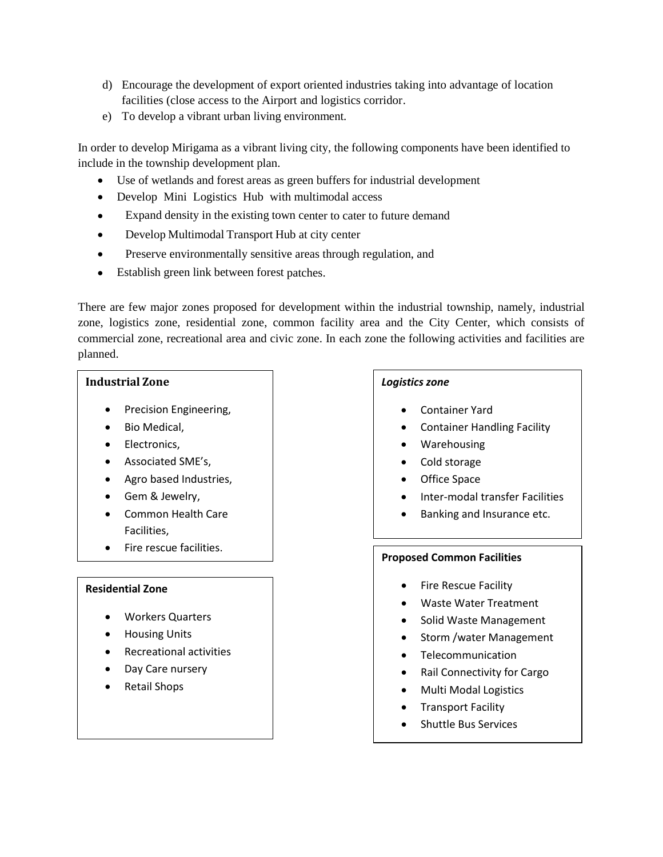- d) Encourage the development of export oriented industries taking into advantage of location facilities (close access to the Airport and logistics corridor.
- e) To develop a vibrant urban living environment.

In order to develop Mirigama as a vibrant living city, the following components have been identified to include in the township development plan.

- Use of wetlands and forest areas as green buffers for industrial development
- Develop Mini Logistics Hub with multimodal access
- Expand density in the existing town center to cater to future demand
- Develop Multimodal Transport Hub at city center
- Preserve environmentally sensitive areas through regulation, and
- Establish green link between forest patches.

There are few major zones proposed for development within the industrial township, namely, industrial zone, logistics zone, residential zone, common facility area and the City Center, which consists of commercial zone, recreational area and civic zone. In each zone the following activities and facilities are planned.

# **Industrial Zone**

 $\overline{a}$ 

- Precision Engineering,
- Bio Medical,
- Electronics,
- Associated SME's,
- Agro based Industries,
- Gem & Jewelry,
- Common Health Care Facilities,
- Fire rescue facilities.

#### **Residential Zone**

- Workers Quarters
- Housing Units
- Recreational activities
- Day Care nursery
- Retail Shops

## *Logistics zone*

- Container Yard
- Container Handling Facility
- Warehousing
- Cold storage
- Office Space
- Inter-modal transfer Facilities
- Banking and Insurance etc.

#### **Proposed Common Facilities**

- Fire Rescue Facility
- Waste Water Treatment
- Solid Waste Management
- Storm / water Management
- Telecommunication
- Rail Connectivity for Cargo
- Multi Modal Logistics
- Transport Facility
- Shuttle Bus Services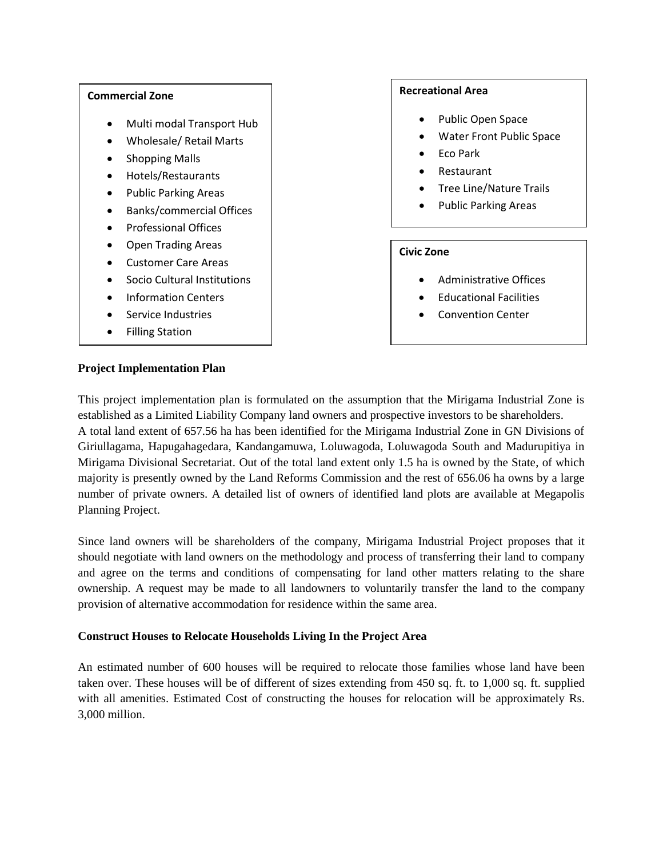#### **Commercial Zone**

- Multi modal Transport Hub
- Wholesale/ Retail Marts
- Shopping Malls
- Hotels/Restaurants
- Public Parking Areas
- Banks/commercial Offices
- Professional Offices
- Open Trading Areas
- Customer Care Areas
- Socio Cultural Institutions
- Information Centers
- Service Industries
- Filling Station

## **Recreational Area**

- Public Open Space
- Water Front Public Space
- Eco Park
- Restaurant
- Tree Line/Nature Trails
- Public Parking Areas

# **Civic Zone**

- Administrative Offices
- Educational Facilities
- Convention Center

### **Project Implementation Plan**

This project implementation plan is formulated on the assumption that the Mirigama Industrial Zone is established as a Limited Liability Company land owners and prospective investors to be shareholders. A total land extent of 657.56 ha has been identified for the Mirigama Industrial Zone in GN Divisions of Giriullagama, Hapugahagedara, Kandangamuwa, Loluwagoda, Loluwagoda South and Madurupitiya in Mirigama Divisional Secretariat. Out of the total land extent only 1.5 ha is owned by the State, of which majority is presently owned by the Land Reforms Commission and the rest of 656.06 ha owns by a large number of private owners. A detailed list of owners of identified land plots are available at Megapolis Planning Project.

Since land owners will be shareholders of the company, Mirigama Industrial Project proposes that it should negotiate with land owners on the methodology and process of transferring their land to company and agree on the terms and conditions of compensating for land other matters relating to the share ownership. A request may be made to all landowners to voluntarily transfer the land to the company provision of alternative accommodation for residence within the same area.

# **Construct Houses to Relocate Households Living In the Project Area**

An estimated number of 600 houses will be required to relocate those families whose land have been taken over. These houses will be of different of sizes extending from 450 sq. ft. to 1,000 sq. ft. supplied with all amenities. Estimated Cost of constructing the houses for relocation will be approximately Rs. 3,000 million.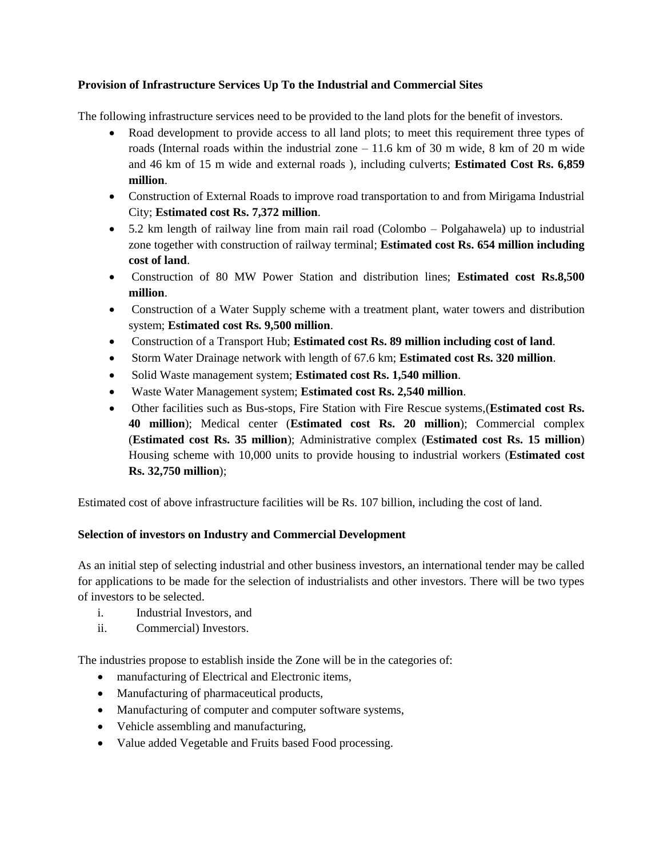# **Provision of Infrastructure Services Up To the Industrial and Commercial Sites**

The following infrastructure services need to be provided to the land plots for the benefit of investors.

- Road development to provide access to all land plots; to meet this requirement three types of roads (Internal roads within the industrial zone – 11.6 km of 30 m wide, 8 km of 20 m wide and 46 km of 15 m wide and external roads ), including culverts; **Estimated Cost Rs. 6,859 million**.
- Construction of External Roads to improve road transportation to and from Mirigama Industrial City; **Estimated cost Rs. 7,372 million**.
- 5.2 km length of railway line from main rail road (Colombo Polgahawela) up to industrial zone together with construction of railway terminal; **Estimated cost Rs. 654 million including cost of land**.
- Construction of 80 MW Power Station and distribution lines; **Estimated cost Rs.8,500 million**.
- Construction of a Water Supply scheme with a treatment plant, water towers and distribution system; **Estimated cost Rs. 9,500 million**.
- Construction of a Transport Hub; **Estimated cost Rs. 89 million including cost of land**.
- Storm Water Drainage network with length of 67.6 km; **Estimated cost Rs. 320 million**.
- Solid Waste management system; **Estimated cost Rs. 1,540 million**.
- Waste Water Management system; **Estimated cost Rs. 2,540 million**.
- Other facilities such as Bus-stops, Fire Station with Fire Rescue systems,(**Estimated cost Rs. 40 million**); Medical center (**Estimated cost Rs. 20 million**); Commercial complex (**Estimated cost Rs. 35 million**); Administrative complex (**Estimated cost Rs. 15 million**) Housing scheme with 10,000 units to provide housing to industrial workers (**Estimated cost Rs. 32,750 million**);

Estimated cost of above infrastructure facilities will be Rs. 107 billion, including the cost of land.

# **Selection of investors on Industry and Commercial Development**

As an initial step of selecting industrial and other business investors, an international tender may be called for applications to be made for the selection of industrialists and other investors. There will be two types of investors to be selected.

- i. Industrial Investors, and
- ii. Commercial) Investors.

The industries propose to establish inside the Zone will be in the categories of:

- manufacturing of Electrical and Electronic items,
- Manufacturing of pharmaceutical products,
- Manufacturing of computer and computer software systems,
- Vehicle assembling and manufacturing,
- Value added Vegetable and Fruits based Food processing.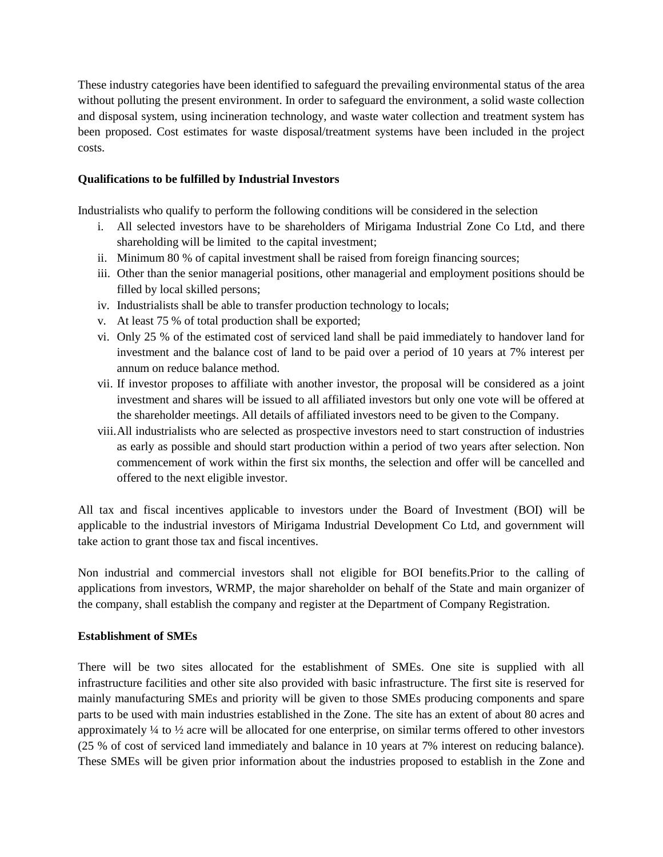These industry categories have been identified to safeguard the prevailing environmental status of the area without polluting the present environment. In order to safeguard the environment, a solid waste collection and disposal system, using incineration technology, and waste water collection and treatment system has been proposed. Cost estimates for waste disposal/treatment systems have been included in the project costs.

### **Qualifications to be fulfilled by Industrial Investors**

Industrialists who qualify to perform the following conditions will be considered in the selection

- i. All selected investors have to be shareholders of Mirigama Industrial Zone Co Ltd, and there shareholding will be limited to the capital investment;
- ii. Minimum 80 % of capital investment shall be raised from foreign financing sources;
- iii. Other than the senior managerial positions, other managerial and employment positions should be filled by local skilled persons;
- iv. Industrialists shall be able to transfer production technology to locals;
- v. At least 75 % of total production shall be exported;
- vi. Only 25 % of the estimated cost of serviced land shall be paid immediately to handover land for investment and the balance cost of land to be paid over a period of 10 years at 7% interest per annum on reduce balance method.
- vii. If investor proposes to affiliate with another investor, the proposal will be considered as a joint investment and shares will be issued to all affiliated investors but only one vote will be offered at the shareholder meetings. All details of affiliated investors need to be given to the Company.
- viii.All industrialists who are selected as prospective investors need to start construction of industries as early as possible and should start production within a period of two years after selection. Non commencement of work within the first six months, the selection and offer will be cancelled and offered to the next eligible investor.

All tax and fiscal incentives applicable to investors under the Board of Investment (BOI) will be applicable to the industrial investors of Mirigama Industrial Development Co Ltd, and government will take action to grant those tax and fiscal incentives.

Non industrial and commercial investors shall not eligible for BOI benefits.Prior to the calling of applications from investors, WRMP, the major shareholder on behalf of the State and main organizer of the company, shall establish the company and register at the Department of Company Registration.

#### **Establishment of SMEs**

There will be two sites allocated for the establishment of SMEs. One site is supplied with all infrastructure facilities and other site also provided with basic infrastructure. The first site is reserved for mainly manufacturing SMEs and priority will be given to those SMEs producing components and spare parts to be used with main industries established in the Zone. The site has an extent of about 80 acres and approximately  $\frac{1}{4}$  to  $\frac{1}{2}$  acre will be allocated for one enterprise, on similar terms offered to other investors (25 % of cost of serviced land immediately and balance in 10 years at 7% interest on reducing balance). These SMEs will be given prior information about the industries proposed to establish in the Zone and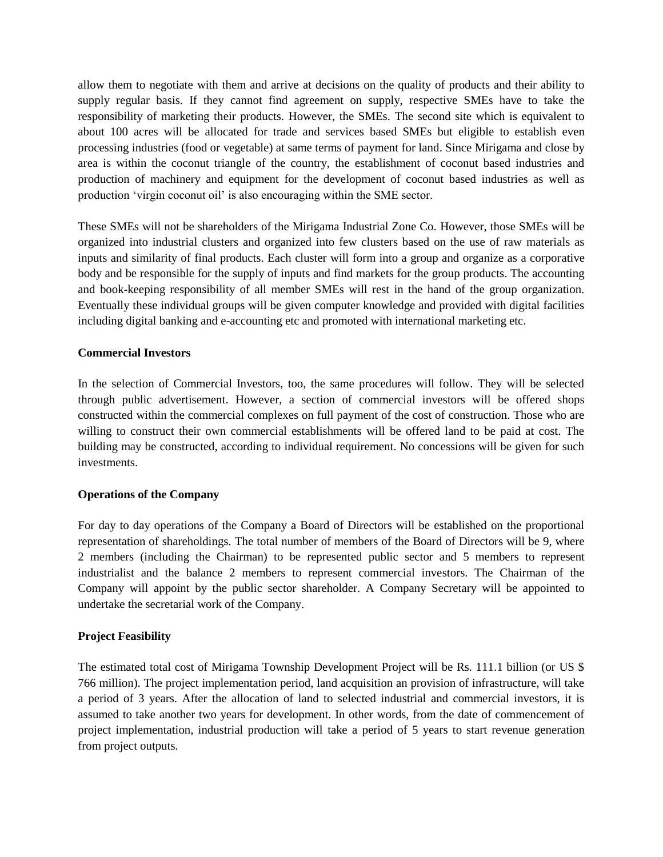allow them to negotiate with them and arrive at decisions on the quality of products and their ability to supply regular basis. If they cannot find agreement on supply, respective SMEs have to take the responsibility of marketing their products. However, the SMEs. The second site which is equivalent to about 100 acres will be allocated for trade and services based SMEs but eligible to establish even processing industries (food or vegetable) at same terms of payment for land. Since Mirigama and close by area is within the coconut triangle of the country, the establishment of coconut based industries and production of machinery and equipment for the development of coconut based industries as well as production 'virgin coconut oil' is also encouraging within the SME sector.

These SMEs will not be shareholders of the Mirigama Industrial Zone Co. However, those SMEs will be organized into industrial clusters and organized into few clusters based on the use of raw materials as inputs and similarity of final products. Each cluster will form into a group and organize as a corporative body and be responsible for the supply of inputs and find markets for the group products. The accounting and book-keeping responsibility of all member SMEs will rest in the hand of the group organization. Eventually these individual groups will be given computer knowledge and provided with digital facilities including digital banking and e-accounting etc and promoted with international marketing etc.

#### **Commercial Investors**

In the selection of Commercial Investors, too, the same procedures will follow. They will be selected through public advertisement. However, a section of commercial investors will be offered shops constructed within the commercial complexes on full payment of the cost of construction. Those who are willing to construct their own commercial establishments will be offered land to be paid at cost. The building may be constructed, according to individual requirement. No concessions will be given for such investments.

#### **Operations of the Company**

For day to day operations of the Company a Board of Directors will be established on the proportional representation of shareholdings. The total number of members of the Board of Directors will be 9, where 2 members (including the Chairman) to be represented public sector and 5 members to represent industrialist and the balance 2 members to represent commercial investors. The Chairman of the Company will appoint by the public sector shareholder. A Company Secretary will be appointed to undertake the secretarial work of the Company.

#### **Project Feasibility**

The estimated total cost of Mirigama Township Development Project will be Rs. 111.1 billion (or US \$ 766 million). The project implementation period, land acquisition an provision of infrastructure, will take a period of 3 years. After the allocation of land to selected industrial and commercial investors, it is assumed to take another two years for development. In other words, from the date of commencement of project implementation, industrial production will take a period of 5 years to start revenue generation from project outputs.